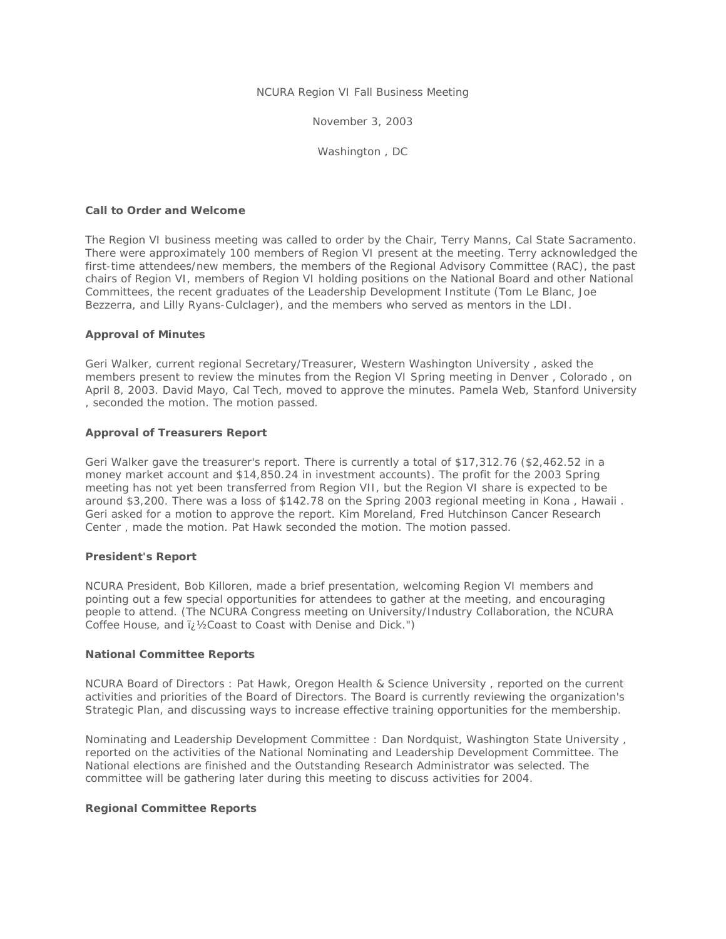NCURA Region VI Fall Business Meeting

November 3, 2003

Washington , DC

### **Call to Order and Welcome**

The Region VI business meeting was called to order by the Chair, Terry Manns, Cal State Sacramento. There were approximately 100 members of Region VI present at the meeting. Terry acknowledged the first-time attendees/new members, the members of the Regional Advisory Committee (RAC), the past chairs of Region VI, members of Region VI holding positions on the National Board and other National Committees, the recent graduates of the Leadership Development Institute (Tom Le Blanc, Joe Bezzerra, and Lilly Ryans-Culclager), and the members who served as mentors in the LDI.

### **Approval of Minutes**

Geri Walker, current regional Secretary/Treasurer, Western Washington University , asked the members present to review the minutes from the Region VI Spring meeting in Denver , Colorado , on April 8, 2003. David Mayo, Cal Tech, moved to approve the minutes. Pamela Web, Stanford University , seconded the motion. The motion passed.

#### **Approval of Treasurers Report**

Geri Walker gave the treasurer's report. There is currently a total of \$17,312.76 (\$2,462.52 in a money market account and \$14,850.24 in investment accounts). The profit for the 2003 Spring meeting has not yet been transferred from Region VII, but the Region VI share is expected to be around \$3,200. There was a loss of \$142.78 on the Spring 2003 regional meeting in Kona , Hawaii . Geri asked for a motion to approve the report. Kim Moreland, Fred Hutchinson Cancer Research Center , made the motion. Pat Hawk seconded the motion. The motion passed.

#### **President's Report**

NCURA President, Bob Killoren, made a brief presentation, welcoming Region VI members and pointing out a few special opportunities for attendees to gather at the meeting, and encouraging people to attend. (The NCURA Congress meeting on University/Industry Collaboration, the NCURA Coffee House, and  $\chi$ <sup>1</sup>/<sub>2</sub>Coast to Coast with Denise and Dick.")

### **National Committee Reports**

NCURA Board of Directors : Pat Hawk, Oregon Health & Science University , reported on the current activities and priorities of the Board of Directors. The Board is currently reviewing the organization's Strategic Plan, and discussing ways to increase effective training opportunities for the membership.

Nominating and Leadership Development Committee : Dan Nordquist, Washington State University , reported on the activities of the National Nominating and Leadership Development Committee. The National elections are finished and the Outstanding Research Administrator was selected. The committee will be gathering later during this meeting to discuss activities for 2004.

### **Regional Committee Reports**